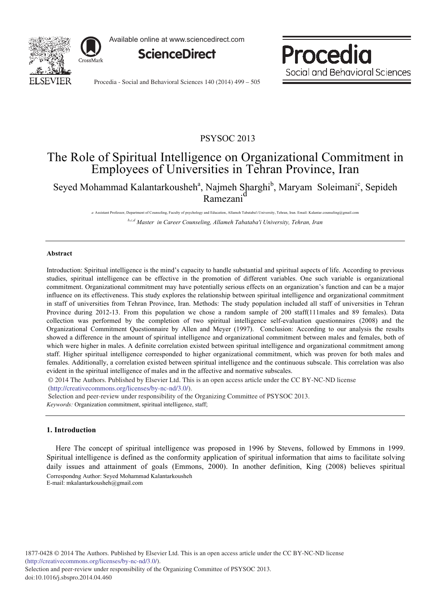

Available online at www.sciencedirect.com



Procedia Social and Behavioral Sciences

Procedia - Social and Behavioral Sciences 140 (2014) 499 – 505

# PSYSOC 2013

# The Role of Spiritual Intelligence on Organizational Commitment in Employees of Universities in Tehran Province, Iran

Seyed Mohammad Kalantarkousheh<sup>a</sup>, Najmeh Sharghi<sup>b</sup>, Maryam Soleimani<sup>c</sup>, Sepideh Ramezani<sup>d</sup>

> *a* Assistant Professor, Department of Counseling, Faculty of psychology and Education, Allameh Tabataba'i University, Tehran, Iran. Email: Kalantar.counseling@gmail.com *b,c,d Master in Career Counseling, Allameh Tabataba'i University, Tehran, Iran*

#### **Abstract**

Introduction: Spiritual intelligence is the mind's capacity to handle substantial and spiritual aspects of life. According to previous studies, spiritual intelligence can be effective in the promotion of different variables. One such variable is organizational commitment. Organizational commitment may have potentially serious effects on an organization's function and can be a major influence on its effectiveness. This study explores the relationship between spiritual intelligence and organizational commitment in staff of universities from Tehran Province, Iran. Methods: The study population included all staff of universities in Tehran Province during 2012-13. From this population we chose a random sample of 200 staff(111males and 89 females). Data collection was performed by the completion of two spiritual intelligence self-evaluation questionnaires (2008) and the Organizational Commitment Questionnaire by Allen and Meyer (1997). Conclusion: According to our analysis the results showed a difference in the amount of spiritual intelligence and organizational commitment between males and females, both of which were higher in males. A definite correlation existed between spiritual intelligence and organizational commitment among staff. Higher spiritual intelligence corresponded to higher organizational commitment, which was proven for both males and females. Additionally, a correlation existed between spiritual intelligence and the continuous subscale. This correlation was also evident in the spiritual intelligence of males and in the affective and normative subscales.

© 2014 The Authors. Published by Elsevier Ltd. © 2014 The Authors. Published by Elsevier Ltd. This is an open access article under the CC BY-NC-ND license (http://creativecommons.org/licenses/by-nc-nd/3.0/).

*Keywords:* Organization commitment, spiritual intelligence, staff; Selection and peer-review under responsibility of the Organizing Committee of PSYSOC 2013.

# **1. Introduction**

Correspondng Author: Seyed Mohammad Kalantarkousheh Here The concept of spiritual intelligence was proposed in 1996 by Stevens, followed by Emmons in 1999. Spiritual intelligence is defined as the conformity application of spiritual information that aims to facilitate solving daily issues and attainment of goals (Emmons, 2000). In another definition, King (2008) believes spiritual

E-mail: mkalantarkousheh@gmail.com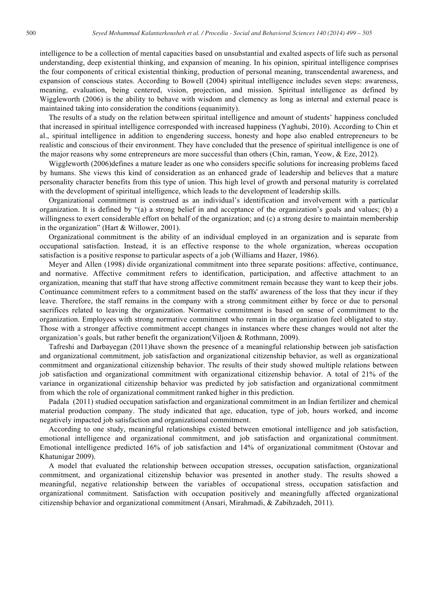intelligence to be a collection of mental capacities based on unsubstantial and exalted aspects of life such as personal understanding, deep existential thinking, and expansion of meaning. In his opinion, spiritual intelligence comprises the four components of critical existential thinking, production of personal meaning, transcendental awareness, and expansion of conscious states. According to Bowell (2004) spiritual intelligence includes seven steps: awareness, meaning, evaluation, being centered, vision, projection, and mission. Spiritual intelligence as defined by Wiggleworth (2006) is the ability to behave with wisdom and clemency as long as internal and external peace is maintained taking into consideration the conditions (equanimity).

The results of a study on the relation between spiritual intelligence and amount of students' happiness concluded that increased in spiritual intelligence corresponded with increased happiness (Yaghubi, 2010). According to Chin et al., spiritual intelligence in addition to engendering success, honesty and hope also enabled entrepreneurs to be realistic and conscious of their environment. They have concluded that the presence of spiritual intelligence is one of the major reasons why some entrepreneurs are more successful than others (Chin, raman, Yeow, & Eze, 2012).

Wiggleworth (2006)defines a mature leader as one who considers specific solutions for increasing problems faced by humans. She views this kind of consideration as an enhanced grade of leadership and believes that a mature personality character benefits from this type of union. This high level of growth and personal maturity is correlated with the development of spiritual intelligence, which leads to the development of leadership skills.

Organizational commitment is construed as an individual's identification and involvement with a particular organization. It is defined by "(a) a strong belief in and acceptance of the organization's goals and values; (b) a willingness to exert considerable effort on behalf of the organization; and (c) a strong desire to maintain membership in the organization" (Hart & Willower, 2001).

Organizational commitment is the ability of an individual employed in an organization and is separate from occupational satisfaction. Instead, it is an effective response to the whole organization, whereas occupation satisfaction is a positive response to particular aspects of a job (Williams and Hazer, 1986).

Meyer and Allen (1998) divide organizational commitment into three separate positions: affective, continuance, and normative. Affective commitment refers to identification, participation, and affective attachment to an organization, meaning that staff that have strong affective commitment remain because they want to keep their jobs. Continuance commitment refers to a commitment based on the staffs' awareness of the loss that they incur if they leave. Therefore, the staff remains in the company with a strong commitment either by force or due to personal sacrifices related to leaving the organization. Normative commitment is based on sense of commitment to the organization. Employees with strong normative commitment who remain in the organization feel obligated to stay. Those with a stronger affective commitment accept changes in instances where these changes would not alter the organization's goals, but rather benefit the organization(Viljoen & Rothmann, 2009).

Tafreshi and Darbayegan (2011)have shown the presence of a meaningful relationship between job satisfaction and organizational commitment, job satisfaction and organizational citizenship behavior, as well as organizational commitment and organizational citizenship behavior. The results of their study showed multiple relations between job satisfaction and organizational commitment with organizational citizenship behavior. A total of 21% of the variance in organizational citizenship behavior was predicted by job satisfaction and organizational commitment from which the role of organizational commitment ranked higher in this prediction.

Padala (2011) studied occupation satisfaction and organizational commitment in an Indian fertilizer and chemical material production company. The study indicated that age, education, type of job, hours worked, and income negatively impacted job satisfaction and organizational commitment.

According to one study, meaningful relationships existed between emotional intelligence and job satisfaction, emotional intelligence and organizational commitment, and job satisfaction and organizational commitment. Emotional intelligence predicted 16% of job satisfaction and 14% of organizational commitment (Ostovar and Khatunigar 2009).

A model that evaluated the relationship between occupation stresses, occupation satisfaction, organizational commitment, and organizational citizenship behavior was presented in another study. The results showed a meaningful, negative relationship between the variables of occupational stress, occupation satisfaction and organizational commitment. Satisfaction with occupation positively and meaningfully affected organizational citizenship behavior and organizational commitment (Ansari, Mirahmadi, & Zabihzadeh, 2011).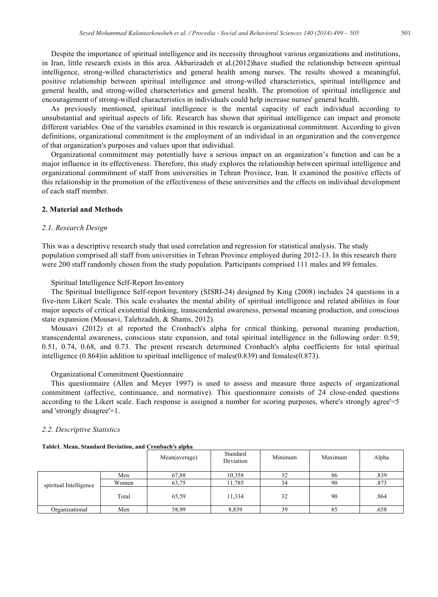Despite the importance of spiritual intelligence and its necessity throughout various organizations and institutions, in Iran, little research exists in this area. Akbarizadeh et al.(2012)have studied the relationship between spiritual intelligence, strong-willed characteristics and general health among nurses. The results showed a meaningful, positive relationship between spiritual intelligence and strong-willed characteristics, spiritual intelligence and general health, and strong-willed characteristics and general health. The promotion of spiritual intelligence and encouragement of strong-willed characteristics in individuals could help increase nurses' general health.

As previously mentioned, spiritual intelligence is the mental capacity of each individual according to unsubstantial and spiritual aspects of life. Research has shown that spiritual intelligence can impact and promote different variables. One of the variables examined in this research is organizational commitment. According to given definitions, organizational commitment is the employment of an individual in an organization and the convergence of that organization's purposes and values upon that individual.

Organizational commitment may potentially have a serious impact on an organization's function and can be a major influence in its effectiveness. Therefore, this study explores the relationship between spiritual intelligence and organizational commitment of staff from universities in Tehran Province, Iran. It examined the positive effects of this relationship in the promotion of the effectiveness of these universities and the effects on individual development of each staff member.

# **2. Material and Methods**

#### *2.1. Research Design*

This was a descriptive research study that used correlation and regression for statistical analysis. The study population comprised all staff from universities in Tehran Province employed during 2012-13. In this research there were 200 staff randomly chosen from the study population. Participants comprised 111 males and 89 females.

Spiritual Intelligence Self-Report Inventory

The Spiritual Intelligence Self-report Inventory (SISRI-24) designed by King (2008) includes 24 questions in a five-item Likert Scale. This scale evaluates the mental ability of spiritual intelligence and related abilities in four major aspects of critical existential thinking, transcendental awareness, personal meaning production, and conscious state expansion (Mousavi, Talebzadeh, & Shams, 2012).

Mousavi (2012) et al reported the Cronbach's alpha for critical thinking, personal meaning production, transcendental awareness, conscious state expansion, and total spiritual intelligence in the following order: 0.59, 0.51, 0.74, 0.68, and 0.73. The present research determined Cronbach's alpha coefficients for total spiritual intelligence (0.864)in addition to spiritual intelligence of males(0.839) and females(0.873).

#### Organizational Commitment Questionnaire

This questionnaire (Allen and Meyer 1997) is used to assess and measure three aspects of organizational commitment (affective, continuance, and normative). This questionnaire consists of 24 close-ended questions according to the Likert scale. Each response is assigned a number for scoring purposes, where's strongly agree'=5 and 'strongly disagree'=1.

#### *2.2. Descriptive Statistics*

#### **Table1. Mean, Standard Deviation, and Cronbach's alpha**

|                        |       | Mean(average) | Standard<br>Deviation | Minimum | Maximum | Alpha |
|------------------------|-------|---------------|-----------------------|---------|---------|-------|
|                        | Men   | 67,88         | 10,358                | 32      | 86      | .839  |
| spiritual Intelligence | Women | 63,75         | 11,785                | 34      | 90      | .873  |
|                        | Total | 65,59         | 11,334                | 32      | 90      | .864  |
| Organizational         | Men   | 58,99         | 8,839                 | 39      | 85      | .658  |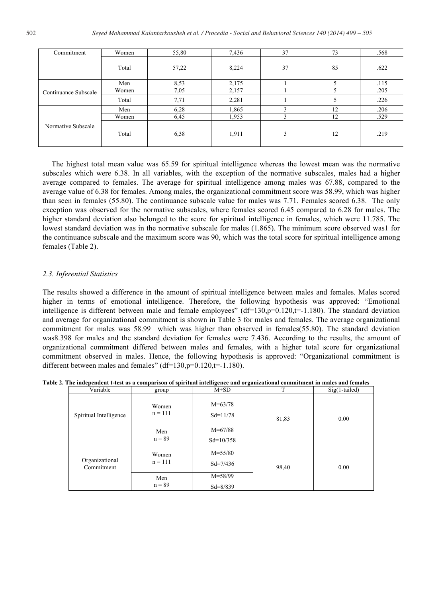| Commitment           | Women | 55,80 | 7,436 | 37 | 73 | .568 |
|----------------------|-------|-------|-------|----|----|------|
|                      | Total | 57,22 | 8,224 | 37 | 85 | .622 |
|                      | Men   | 8,53  | 2,175 |    |    | .115 |
| Continuance Subscale | Women | 7,05  | 2,157 |    |    | .205 |
|                      | Total | 7,71  | 2,281 |    | 5  | .226 |
| Normative Subscale   | Men   | 6,28  | 1,865 | 3  | 12 | .206 |
|                      | Women | 6,45  | 1,953 | ٦  | 12 | .529 |
|                      | Total | 6,38  | 1,911 | 3  | 12 | .219 |

The highest total mean value was 65.59 for spiritual intelligence whereas the lowest mean was the normative subscales which were 6.38. In all variables, with the exception of the normative subscales, males had a higher average compared to females. The average for spiritual intelligence among males was 67.88, compared to the average value of 6.38 for females. Among males, the organizational commitment score was 58.99, which was higher than seen in females (55.80). The continuance subscale value for males was 7.71. Females scored 6.38. The only exception was observed for the normative subscales, where females scored 6.45 compared to 6.28 for males. The higher standard deviation also belonged to the score for spiritual intelligence in females, which were 11.785. The lowest standard deviation was in the normative subscale for males (1.865). The minimum score observed was1 for the continuance subscale and the maximum score was 90, which was the total score for spiritual intelligence among females (Table 2).

# *2.3. Inferential Statistics*

The results showed a difference in the amount of spiritual intelligence between males and females. Males scored higher in terms of emotional intelligence. Therefore, the following hypothesis was approved: "Emotional intelligence is different between male and female employees" (df=130,p=0.120,t=-1.180). The standard deviation and average for organizational commitment is shown in Table 3 for males and females. The average organizational commitment for males was 58.99 which was higher than observed in females(55.80). The standard deviation was8.398 for males and the standard deviation for females were 7.436. According to the results, the amount of organizational commitment differed between males and females, with a higher total score for organizational commitment observed in males. Hence, the following hypothesis is approved: "Organizational commitment is different between males and females" (df= $130$ ,p= $0.120$ ,t= $-1.180$ ).

| Table 2. The independent t-test as a comparison of spiritual intelligence and organizational commitment in males and females |  |  |  |  |
|------------------------------------------------------------------------------------------------------------------------------|--|--|--|--|
|                                                                                                                              |  |  |  |  |

| Variable                     | group              | $M\pm SD$                   | T     | $Sig(1-tailed)$ |  |
|------------------------------|--------------------|-----------------------------|-------|-----------------|--|
| Spiritual Intelligence       | Women<br>$n = 111$ | $M = 63/78$<br>$Sd=11/78$   | 81,83 | 0.00            |  |
|                              | Men<br>$n = 89$    | $M=67/88$<br>$Sd=10/358$    |       |                 |  |
| Organizational<br>Commitment | Women<br>$n = 111$ | $M = 55/80$<br>$Sd = 7/436$ | 98,40 | 0.00            |  |
|                              | Men<br>$n = 89$    | $M = 58/99$<br>$Sd = 8/839$ |       |                 |  |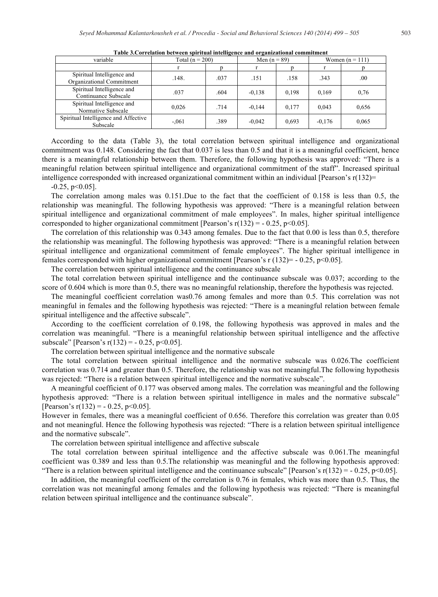| variable                                                | Total $(n = 200)$ |      | Men $(n = 89)$ |       | Women $(n = 111)$ |       |
|---------------------------------------------------------|-------------------|------|----------------|-------|-------------------|-------|
|                                                         |                   |      |                |       |                   |       |
| Spiritual Intelligence and<br>Organizational Commitment | .148.             | .037 | .151           | .158  | .343              | .00.  |
| Spiritual Intelligence and<br>Continuance Subscale      | .037              | .604 | $-0.138$       | 0.198 | 0,169             | 0.76  |
| Spiritual Intelligence and<br>Normative Subscale        | 0.026             | .714 | $-0.144$       | 0,177 | 0.043             | 0,656 |
| Spiritual Intelligence and Affective<br>Subscale        | $-.061$           | .389 | $-0.042$       | 0.693 | $-0.176$          | 0,065 |

**Table 3.Correlation between spiritual intelligence and organizational commitment** 

According to the data (Table 3), the total correlation between spiritual intelligence and organizational commitment was 0.148. Considering the fact that 0.037 is less than 0.5 and that it is a meaningful coefficient, hence there is a meaningful relationship between them. Therefore, the following hypothesis was approved: "There is a meaningful relation between spiritual intelligence and organizational commitment of the staff". Increased spiritual intelligence corresponded with increased organizational commitment within an individual [Pearson's r(132)=

 $-0.25$ ,  $p<0.05$ ].

The correlation among males was 0.151.Due to the fact that the coefficient of 0.158 is less than 0.5, the relationship was meaningful. The following hypothesis was approved: "There is a meaningful relation between spiritual intelligence and organizational commitment of male employees". In males, higher spiritual intelligence corresponded to higher organizational commitment [Pearson's  $r(132) = -0.25$ , p<0.05].

The correlation of this relationship was 0.343 among females. Due to the fact that 0.00 is less than 0.5, therefore the relationship was meaningful. The following hypothesis was approved: "There is a meaningful relation between spiritual intelligence and organizational commitment of female employees". The higher spiritual intelligence in females corresponded with higher organizational commitment [Pearson's r (132)= - 0.25, p<0.05].

The correlation between spiritual intelligence and the continuance subscale

The total correlation between spiritual intelligence and the continuance subscale was 0.037; according to the score of 0.604 which is more than 0.5, there was no meaningful relationship, therefore the hypothesis was rejected.

The meaningful coefficient correlation was0.76 among females and more than 0.5. This correlation was not meaningful in females and the following hypothesis was rejected: "There is a meaningful relation between female spiritual intelligence and the affective subscale".

According to the coefficient correlation of 0.198, the following hypothesis was approved in males and the correlation was meaningful. "There is a meaningful relationship between spiritual intelligence and the affective subscale" [Pearson's  $r(132) = -0.25$ ,  $p < 0.05$ ].

The correlation between spiritual intelligence and the normative subscale

The total correlation between spiritual intelligence and the normative subscale was 0.026.The coefficient correlation was 0.714 and greater than 0.5. Therefore, the relationship was not meaningful.The following hypothesis was rejected: "There is a relation between spiritual intelligence and the normative subscale".

A meaningful coefficient of 0.177 was observed among males. The correlation was meaningful and the following hypothesis approved: "There is a relation between spiritual intelligence in males and the normative subscale" [Pearson's  $r(132) = -0.25$ ,  $p<0.05$ ].

However in females, there was a meaningful coefficient of 0.656. Therefore this correlation was greater than 0.05 and not meaningful. Hence the following hypothesis was rejected: "There is a relation between spiritual intelligence and the normative subscale".

The correlation between spiritual intelligence and affective subscale

The total correlation between spiritual intelligence and the affective subscale was 0.061.The meaningful coefficient was 0.389 and less than 0.5.The relationship was meaningful and the following hypothesis approved: "There is a relation between spiritual intelligence and the continuance subscale" [Pearson's  $r(132) = -0.25$ ,  $p<0.05$ ].

In addition, the meaningful coefficient of the correlation is 0.76 in females, which was more than 0.5. Thus, the correlation was not meaningful among females and the following hypothesis was rejected: "There is meaningful relation between spiritual intelligence and the continuance subscale".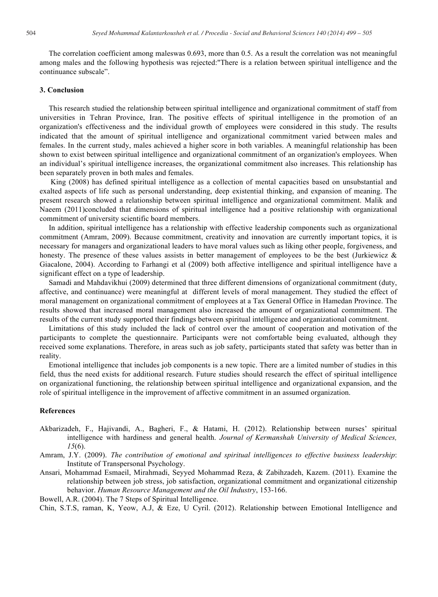The correlation coefficient among maleswas 0.693, more than 0.5. As a result the correlation was not meaningful among males and the following hypothesis was rejected:"There is a relation between spiritual intelligence and the continuance subscale".

# **3. Conclusion**

This research studied the relationship between spiritual intelligence and organizational commitment of staff from universities in Tehran Province, Iran. The positive effects of spiritual intelligence in the promotion of an organization's effectiveness and the individual growth of employees were considered in this study. The results indicated that the amount of spiritual intelligence and organizational commitment varied between males and females. In the current study, males achieved a higher score in both variables. A meaningful relationship has been shown to exist between spiritual intelligence and organizational commitment of an organization's employees. When an individual's spiritual intelligence increases, the organizational commitment also increases. This relationship has been separately proven in both males and females.

 King (2008) has defined spiritual intelligence as a collection of mental capacities based on unsubstantial and exalted aspects of life such as personal understanding, deep existential thinking, and expansion of meaning. The present research showed a relationship between spiritual intelligence and organizational commitment. Malik and Naeem (2011)concluded that dimensions of spiritual intelligence had a positive relationship with organizational commitment of university scientific board members.

In addition, spiritual intelligence has a relationship with effective leadership components such as organizational commitment (Amram, 2009). Because commitment, creativity and innovation are currently important topics, it is necessary for managers and organizational leaders to have moral values such as liking other people, forgiveness, and honesty. The presence of these values assists in better management of employees to be the best (Jurkiewicz & Giacalone, 2004). According to Farhangi et al (2009) both affective intelligence and spiritual intelligence have a significant effect on a type of leadership.

Samadi and Mahdavikhui (2009) determined that three different dimensions of organizational commitment (duty, affective, and continuance) were meaningful at different levels of moral management. They studied the effect of moral management on organizational commitment of employees at a Tax General Office in Hamedan Province. The results showed that increased moral management also increased the amount of organizational commitment. The results of the current study supported their findings between spiritual intelligence and organizational commitment.

Limitations of this study included the lack of control over the amount of cooperation and motivation of the participants to complete the questionnaire. Participants were not comfortable being evaluated, although they received some explanations. Therefore, in areas such as job safety, participants stated that safety was better than in reality.

Emotional intelligence that includes job components is a new topic. There are a limited number of studies in this field, thus the need exists for additional research. Future studies should research the effect of spiritual intelligence on organizational functioning, the relationship between spiritual intelligence and organizational expansion, and the role of spiritual intelligence in the improvement of affective commitment in an assumed organization.

#### **References**

- Akbarizadeh, F., Hajivandi, A., Bagheri, F., & Hatami, H. (2012). Relationship between nurses' spiritual intelligence with hardiness and general health. *Journal of Kermanshah University of Medical Sciences, 15*(6).
- Amram, J.Y. (2009). *The contribution of emotional and spiritual intelligences to effective business leadership*: Institute of Transpersonal Psychology.
- Ansari, Mohammad Esmaeil, Mirahmadi, Seyyed Mohammad Reza, & Zabihzadeh, Kazem. (2011). Examine the relationship between job stress, job satisfaction, organizational commitment and organizational citizenship behavior. *Human Resource Management and the Oil Industry*, 153-166.
- Bowell, A.R. (2004). The 7 Steps of Spiritual Intelligence.

Chin, S.T.S, raman, K, Yeow, A.J, & Eze, U Cyril. (2012). Relationship between Emotional Intelligence and